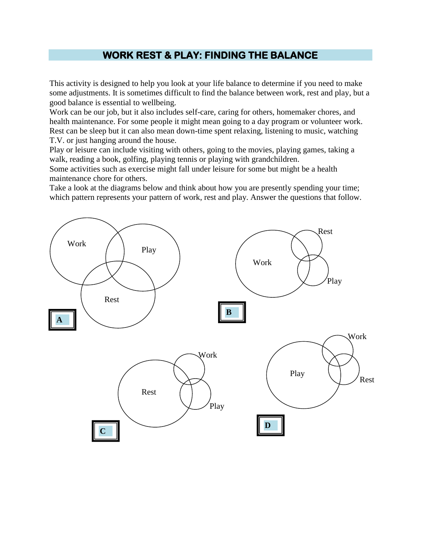## **WORK REST & PLAY: FINDING THE BALANCE**

This activity is designed to help you look at your life balance to determine if you need to make some adjustments. It is sometimes difficult to find the balance between work, rest and play, but a good balance is essential to wellbeing.

Work can be our job, but it also includes self-care, caring for others, homemaker chores, and health maintenance. For some people it might mean going to a day program or volunteer work. Rest can be sleep but it can also mean down-time spent relaxing, listening to music, watching T.V. or just hanging around the house.

Play or leisure can include visiting with others, going to the movies, playing games, taking a walk, reading a book, golfing, playing tennis or playing with grandchildren.

Some activities such as exercise might fall under leisure for some but might be a health maintenance chore for others.

Take a look at the diagrams below and think about how you are presently spending your time; which pattern represents your pattern of work, rest and play. Answer the questions that follow.